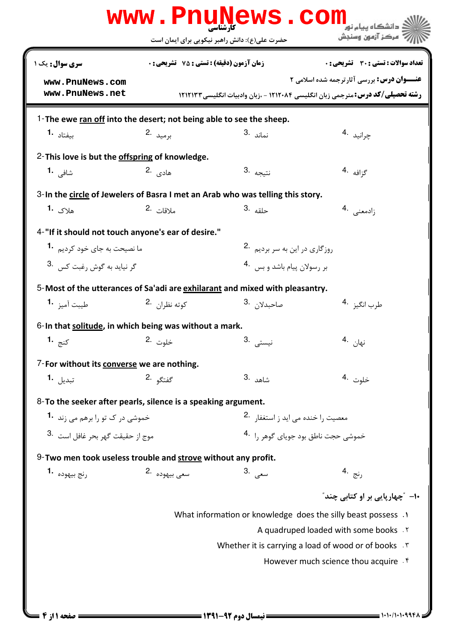|                                                                     |                                                                                                                                     | www.PnuNews.com                                                                 | دانشگاه سام نور                                               |  |
|---------------------------------------------------------------------|-------------------------------------------------------------------------------------------------------------------------------------|---------------------------------------------------------------------------------|---------------------------------------------------------------|--|
|                                                                     |                                                                                                                                     | حضرت علی(ع): دانش راهبر نیکویی برای ایمان است                                   | 7' مرڪز آزمون وسنڊش                                           |  |
| سری سوال : یک ۱                                                     | <b>زمان آزمون (دقیقه) : تستی : 75 تشریحی : 0</b>                                                                                    |                                                                                 | <b>تعداد سوالات : تستي : 30 ٪ تشريحي : 0</b>                  |  |
| www.PnuNews.com<br>www.PnuNews.net                                  | <b>عنــوان درس:</b> بررسی آثارترجمه شده اسلامی ۲<br>رشته تحصیلی/کد درس: مترجمی زبان انگلیسی ۱۲۱۲۰۸۴ - ،زبان وادبیات انگلیسی ۱۲۱۲۱۳۳ |                                                                                 |                                                               |  |
| 1-The ewe ran off into the desert; not being able to see the sheep. |                                                                                                                                     |                                                                                 |                                                               |  |
| بىفتاد <b>1.</b>                                                    | برميد .2                                                                                                                            | نماند .3                                                                        | چرانيد 4.                                                     |  |
| 2-This love is but the offspring of knowledge.                      |                                                                                                                                     |                                                                                 |                                                               |  |
| شافی <b>1.</b>                                                      | هادي .2                                                                                                                             | نتيجه <sup>.3</sup>                                                             | گزافه <sup>.4</sup>                                           |  |
|                                                                     |                                                                                                                                     | 3- In the circle of Jewelers of Basra I met an Arab who was telling this story. |                                                               |  |
| هلاک <b>1.</b>                                                      | ملاقات 2.                                                                                                                           | حلقه .3                                                                         | زادمعنی .4                                                    |  |
| 4-"If it should not touch anyone's ear of desire."                  |                                                                                                                                     |                                                                                 |                                                               |  |
| ما نصیحت به جای خود کردیم <b>1۰</b>                                 |                                                                                                                                     | روزگاری در این به سر بردیم 2.                                                   |                                                               |  |
| گر نيايد به گوش رغبت كس                                             |                                                                                                                                     | بر رسولان پیام باشد و بس 4.                                                     |                                                               |  |
|                                                                     |                                                                                                                                     | 5-Most of the utterances of Sa'adi are exhilarant and mixed with pleasantry.    |                                                               |  |
| طيبت آميز <b>1</b>                                                  | کوته نظران 2.                                                                                                                       | صاحبدلا <sub>ن</sub> 3.                                                         | طرب انگيز 4.                                                  |  |
| 6-In that solitude, in which being was without a mark.              |                                                                                                                                     |                                                                                 |                                                               |  |
| کنج <b>1.</b>                                                       | خلوت 2.                                                                                                                             | نيست <i>ى</i> .3                                                                | نهان <sup>.4</sup>                                            |  |
| 7-For without its converse we are nothing.                          |                                                                                                                                     |                                                                                 |                                                               |  |
| تبدیل <b>1.</b>                                                     | گفتگو .2                                                                                                                            | 3. شاهد                                                                         | خلوت <sup>.4</sup>                                            |  |
| 8-To the seeker after pearls, silence is a speaking argument.       |                                                                                                                                     |                                                                                 |                                                               |  |
| خموشی در ک تو را برهم می زند <b>1۰</b>                              |                                                                                                                                     |                                                                                 | معصیت را خنده می اید ز استغفار 2.                             |  |
| موج از حقیقت گھر بجر غافل است .3                                    |                                                                                                                                     |                                                                                 | .<br>خموشی حجت ناطق بود جویای گوهر را <sup>4</sup> ۰          |  |
| 9-Two men took useless trouble and strove without any profit.       |                                                                                                                                     |                                                                                 |                                                               |  |
| رنج بيهوده 1.                                                       | سعی بیھودہ ۔2                                                                                                                       | سعى .3                                                                          | رنج .4                                                        |  |
|                                                                     |                                                                                                                                     |                                                                                 | ∙۱- ″چهارپایی بر او کتابی چند″                                |  |
|                                                                     |                                                                                                                                     |                                                                                 | What information or knowledge does the silly beast possess .1 |  |
|                                                                     | A quadruped loaded with some books . Y                                                                                              |                                                                                 |                                                               |  |
|                                                                     | Whether it is carrying a load of wood or of books . \vare                                                                           |                                                                                 |                                                               |  |
|                                                                     |                                                                                                                                     |                                                                                 | However much science thou acquire . f                         |  |
|                                                                     |                                                                                                                                     |                                                                                 |                                                               |  |
|                                                                     |                                                                                                                                     |                                                                                 |                                                               |  |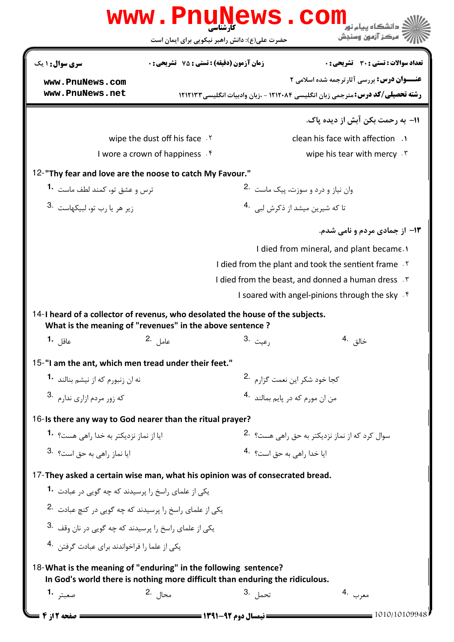|                                                                                                                                             | کارشناسی<br>حضرت علی(ع): دانش راهبر نیکویی برای ایمان است |                                            | مركز آزمون وسنجش                                                                                                                            |  |  |  |  |  |
|---------------------------------------------------------------------------------------------------------------------------------------------|-----------------------------------------------------------|--------------------------------------------|---------------------------------------------------------------------------------------------------------------------------------------------|--|--|--|--|--|
| سری سوال: ۱ یک                                                                                                                              | زمان آزمون (دقیقه) : تستی : 75 ٪ تشریحی : 0               |                                            | تعداد سوالات : تستي : 30 ٪ تشريحي : 0                                                                                                       |  |  |  |  |  |
| www.PnuNews.com<br>www.PnuNews.net                                                                                                          |                                                           |                                            | <b>عنـــوان درس:</b> بررسي آثارترجمه شده اسلامي 2<br><b>رشته تحصیلی/کد درس:</b> مترجمی زبان انگلیسی ۱۲۱۲۰۸۴ - ،زبان وادبیات انگلیسی ۱۲۱۲۱۳۳ |  |  |  |  |  |
|                                                                                                                                             |                                                           |                                            | 11– به رحمت بکن آبش از دیده یاک.                                                                                                            |  |  |  |  |  |
|                                                                                                                                             | wipe the dust off his face . Y                            |                                            | clean his face with affection .                                                                                                             |  |  |  |  |  |
| I wore a crown of happiness f                                                                                                               |                                                           |                                            | wipe his tear with mercy . ٣                                                                                                                |  |  |  |  |  |
| 12-"Thy fear and love are the noose to catch My Favour."                                                                                    |                                                           |                                            |                                                                                                                                             |  |  |  |  |  |
| ترس و عشق تو، کمند لطف ماست 1۰                                                                                                              |                                                           |                                            | وان نیاز و درد و سوزت، پیک ماست 2.                                                                                                          |  |  |  |  |  |
| زير هر يا رب تو، لبيكهاست 3.                                                                                                                |                                                           |                                            | تا که شیرین میشد از ذکرش لبی . 4                                                                                                            |  |  |  |  |  |
|                                                                                                                                             |                                                           |                                            | <b>۱۳</b> - از جمادی مردم و نامی شدم.                                                                                                       |  |  |  |  |  |
|                                                                                                                                             |                                                           |                                            | I died from mineral, and plant became.                                                                                                      |  |  |  |  |  |
|                                                                                                                                             |                                                           |                                            | I died from the plant and took the sentient frame.                                                                                          |  |  |  |  |  |
|                                                                                                                                             |                                                           |                                            | I died from the beast, and donned a human dress . \vanti                                                                                    |  |  |  |  |  |
|                                                                                                                                             |                                                           |                                            | I soared with angel-pinions through the sky f                                                                                               |  |  |  |  |  |
| 14-I heard of a collector of revenus, who desolated the house of the subjects.<br>What is the meaning of "revenues" in the above sentence ? |                                                           |                                            |                                                                                                                                             |  |  |  |  |  |
| عاقل <b>1.</b>                                                                                                                              | عامل . <sup>2</sup>                                       | رعيت .3                                    | خالق <sup>.4</sup>                                                                                                                          |  |  |  |  |  |
|                                                                                                                                             | 15-"I am the ant, which men tread under their feet."      |                                            |                                                                                                                                             |  |  |  |  |  |
| نه ان زنبورم که از نیشم بنالند <b>1</b> ۰                                                                                                   |                                                           | کجا خود شکر این نعمت گزا <sub>ر</sub> م 2. |                                                                                                                                             |  |  |  |  |  |
| كه زور مردم ازارى ندارم .3                                                                                                                  |                                                           |                                            | من ان مورم كه در يايم بمالند 4.                                                                                                             |  |  |  |  |  |
| 16-Is there any way to God nearer than the ritual prayer?                                                                                   |                                                           |                                            |                                                                                                                                             |  |  |  |  |  |
| ایا از نماز نزدیکتر به خدا <sub>د</sub> اهے ِ هست؟ <b>-1</b>                                                                                |                                                           |                                            | سوال کرد که از نماز نزدیکتر به حق راهے هست؟ ۔2                                                                                              |  |  |  |  |  |
| 3. ایا نماز راهی به حق است؟ 3.                                                                                                              |                                                           | ايا خدا راهي به حق است؟ 4.                 |                                                                                                                                             |  |  |  |  |  |
| 17-They asked a certain wise man, what his opinion was of consecrated bread.                                                                |                                                           |                                            |                                                                                                                                             |  |  |  |  |  |
| یکی از علمای راسخ را پرسیدند که چه گویی در عبادت <b>1۰</b>                                                                                  |                                                           |                                            |                                                                                                                                             |  |  |  |  |  |
| یکی از علمای راسخ را پرسیدند که چه گویی در کنچ عبادت .2                                                                                     |                                                           |                                            |                                                                                                                                             |  |  |  |  |  |
| یکی از علمای راسخ را پرسیدند که چه گویی در نان وقف <sup>.3</sup>                                                                            |                                                           |                                            |                                                                                                                                             |  |  |  |  |  |
| یکی از علما را فراخواندند برای عبادت گرفتن . 4                                                                                              |                                                           |                                            |                                                                                                                                             |  |  |  |  |  |
| 18-What is the meaning of "enduring" in the following sentence?                                                                             |                                                           |                                            |                                                                                                                                             |  |  |  |  |  |
| In God's world there is nothing more difficult than enduring the ridiculous.                                                                |                                                           |                                            |                                                                                                                                             |  |  |  |  |  |
| صعبتر 1.                                                                                                                                    | محال 2.                                                   | تحمل . <sup>3</sup>                        | معرب .4                                                                                                                                     |  |  |  |  |  |
| ـــــــ صفحه 12ز 4 ـــا                                                                                                                     |                                                           |                                            | 1010/10109948                                                                                                                               |  |  |  |  |  |

**TITAL** 

. .

W.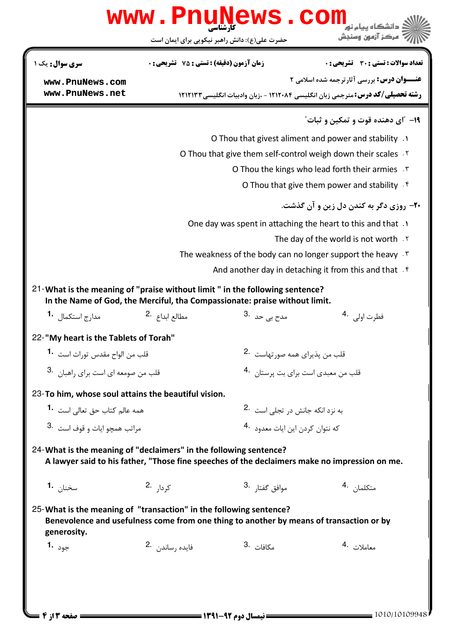|                                                                                                                                                                              | <b>www.PnuNews</b>                                                                                          |                                                             | COM<br>بركز آزمون وسندش                                                                       |  |  |
|------------------------------------------------------------------------------------------------------------------------------------------------------------------------------|-------------------------------------------------------------------------------------------------------------|-------------------------------------------------------------|-----------------------------------------------------------------------------------------------|--|--|
|                                                                                                                                                                              | حضرت علی(ع): دانش راهبر نیکویی برای ایمان است                                                               |                                                             |                                                                                               |  |  |
| سری سوال : یک ۱                                                                                                                                                              | زمان آزمون (دقيقه) : تستى : 75 ٪ تشريحي : 0                                                                 |                                                             | تعداد سوالات : تستي : 30 ٪ تشريحي : 0                                                         |  |  |
| www.PnuNews.com                                                                                                                                                              |                                                                                                             |                                                             | <b>عنـــوان درس:</b> بررسي آثارترجمه شده اسلامي 2                                             |  |  |
| www.PnuNews.net                                                                                                                                                              |                                                                                                             |                                                             | <b>رشته تحصیلی/کد درس:</b> مترجمی زبان انگلیسی ۱۲۱۲۰۸۴ - ،زبان وادبیات انگلیسی ۱۲۱۲۱۳۳        |  |  |
|                                                                                                                                                                              |                                                                                                             |                                                             | 1 <b>۹</b> - "ای دهنده قوت و تمکین و ثبات"                                                    |  |  |
|                                                                                                                                                                              |                                                                                                             | 0. O Thou that givest aliment and power and stability       |                                                                                               |  |  |
|                                                                                                                                                                              |                                                                                                             |                                                             | O Thou that give them self-control weigh down their scales . Y                                |  |  |
|                                                                                                                                                                              |                                                                                                             | O Thou the kings who lead forth their armies *              |                                                                                               |  |  |
|                                                                                                                                                                              | O Thou that give them power and stability $\mathcal{F}$                                                     |                                                             |                                                                                               |  |  |
| <b>۴۰</b> - روزي دگر به کندن دل زين و آن گذشت.                                                                                                                               |                                                                                                             |                                                             |                                                                                               |  |  |
|                                                                                                                                                                              |                                                                                                             | One day was spent in attaching the heart to this and that . |                                                                                               |  |  |
|                                                                                                                                                                              | The day of the world is not worth . Y<br>The weakness of the body can no longer support the heavy $\cdot$ . |                                                             |                                                                                               |  |  |
|                                                                                                                                                                              |                                                                                                             |                                                             |                                                                                               |  |  |
|                                                                                                                                                                              |                                                                                                             |                                                             | And another day in detaching it from this and that $\mathfrak k$                              |  |  |
| 21-What is the meaning of "praise without limit" in the following sentence?<br>In the Name of God, the Merciful, tha Compassionate: praise without limit.                    |                                                                                                             |                                                             |                                                                                               |  |  |
| مدا <sub>ر</sub> ج استکمال <b>1</b> ۰                                                                                                                                        | مطالع ابداع <sup>.2</sup>                                                                                   | مدح ہے <sub>،</sub> حد .3                                   | فطرت اولى 4.                                                                                  |  |  |
| 22-"My heart is the Tablets of Torah"                                                                                                                                        |                                                                                                             |                                                             |                                                                                               |  |  |
| قلب من الواح مقدس تورات است 1.                                                                                                                                               |                                                                                                             | قلب من پذیرای همه صورتهاست 2.                               |                                                                                               |  |  |
| قلب من صومعه اي است براي راهبان .3                                                                                                                                           |                                                                                                             |                                                             | قلب من معبدي است براي بت پرستان 4.                                                            |  |  |
| 23-To him, whose soul attains the beautiful vision.                                                                                                                          |                                                                                                             |                                                             |                                                                                               |  |  |
| همه عالم كتاب حق تعالى است 1۰                                                                                                                                                |                                                                                                             |                                                             | به نزد انکه جانش د, تجلی است <sup>.2</sup>                                                    |  |  |
| مراتب همچو ايات و قوف است <sup>.3</sup>                                                                                                                                      |                                                                                                             |                                                             | که نتوان کردن این ایات معدود <sup>4</sup> ۰                                                   |  |  |
| 24- What is the meaning of "declaimers" in the following sentence?                                                                                                           |                                                                                                             |                                                             | A lawyer said to his father, "Those fine speeches of the declaimers make no impression on me. |  |  |
| سخنا <sub>ن</sub> <b>1.</b>                                                                                                                                                  | ک <sub>ر دار</sub> .2                                                                                       | موافق گفتا <sub>د</sub> .3                                  | متكلمان 4.                                                                                    |  |  |
| 25-What is the meaning of "transaction" in the following sentence?<br>Benevolence and usefulness come from one thing to another by means of transaction or by<br>generosity. |                                                                                                             |                                                             |                                                                                               |  |  |
| جود <b>1.</b>                                                                                                                                                                | فايده رساندن 2.                                                                                             | مكافات <sup>.3</sup>                                        | معاملات 4.                                                                                    |  |  |
|                                                                                                                                                                              |                                                                                                             |                                                             |                                                                                               |  |  |
|                                                                                                                                                                              |                                                                                                             |                                                             |                                                                                               |  |  |
|                                                                                                                                                                              |                                                                                                             |                                                             |                                                                                               |  |  |